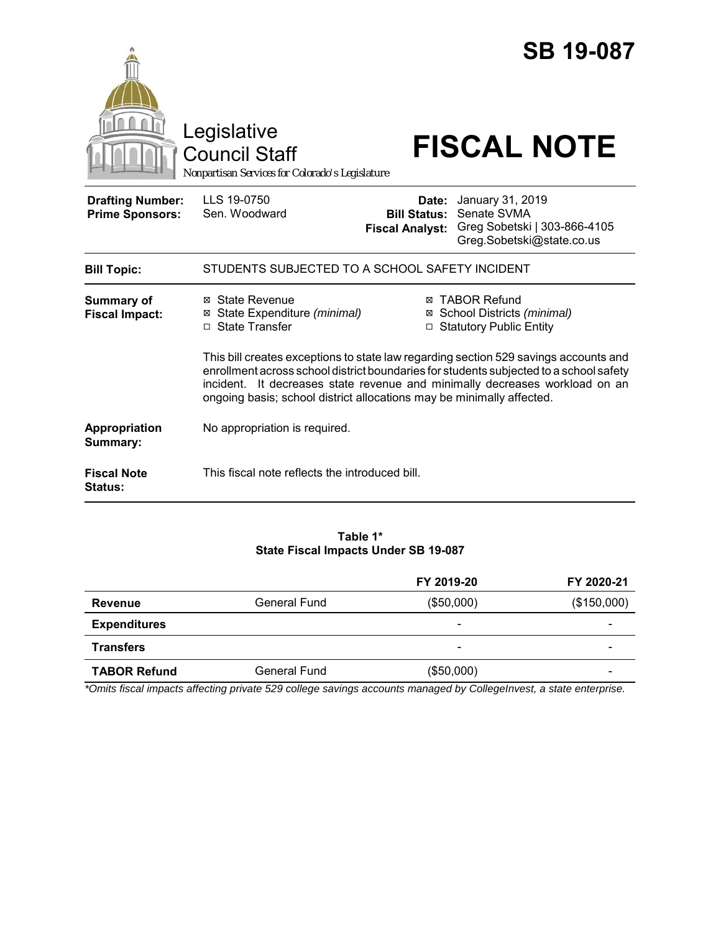|                                                   | Legislative<br><b>Council Staff</b><br>Nonpartisan Services for Colorado's Legislature                                                                                                                                                                                                                                                 |                                                        | <b>SB 19-087</b><br><b>FISCAL NOTE</b>                                                       |  |
|---------------------------------------------------|----------------------------------------------------------------------------------------------------------------------------------------------------------------------------------------------------------------------------------------------------------------------------------------------------------------------------------------|--------------------------------------------------------|----------------------------------------------------------------------------------------------|--|
| <b>Drafting Number:</b><br><b>Prime Sponsors:</b> | LLS 19-0750<br>Sen. Woodward                                                                                                                                                                                                                                                                                                           | Date:<br><b>Bill Status:</b><br><b>Fiscal Analyst:</b> | January 31, 2019<br>Senate SVMA<br>Greg Sobetski   303-866-4105<br>Greg.Sobetski@state.co.us |  |
| <b>Bill Topic:</b>                                | STUDENTS SUBJECTED TO A SCHOOL SAFETY INCIDENT                                                                                                                                                                                                                                                                                         |                                                        |                                                                                              |  |
| <b>Summary of</b><br><b>Fiscal Impact:</b>        | ⊠ State Revenue<br>⊠ State Expenditure (minimal)<br>□ State Transfer                                                                                                                                                                                                                                                                   |                                                        | <b>⊠ TABOR Refund</b><br>⊠ School Districts (minimal)<br>□ Statutory Public Entity           |  |
|                                                   | This bill creates exceptions to state law regarding section 529 savings accounts and<br>enrollment across school district boundaries for students subjected to a school safety<br>incident. It decreases state revenue and minimally decreases workload on an<br>ongoing basis; school district allocations may be minimally affected. |                                                        |                                                                                              |  |
| Appropriation<br>Summary:                         | No appropriation is required.                                                                                                                                                                                                                                                                                                          |                                                        |                                                                                              |  |
| <b>Fiscal Note</b><br><b>Status:</b>              | This fiscal note reflects the introduced bill.                                                                                                                                                                                                                                                                                         |                                                        |                                                                                              |  |

### **Table 1\* State Fiscal Impacts Under SB 19-087**

|                     |              | FY 2019-20               | FY 2020-21  |
|---------------------|--------------|--------------------------|-------------|
| Revenue             | General Fund | (\$50,000)               | (\$150,000) |
| <b>Expenditures</b> |              | $\overline{\phantom{0}}$ |             |
| <b>Transfers</b>    |              | $\overline{\phantom{0}}$ |             |
| <b>TABOR Refund</b> | General Fund | (\$50,000)               |             |

*\*Omits fiscal impacts affecting private 529 college savings accounts managed by CollegeInvest, a state enterprise.*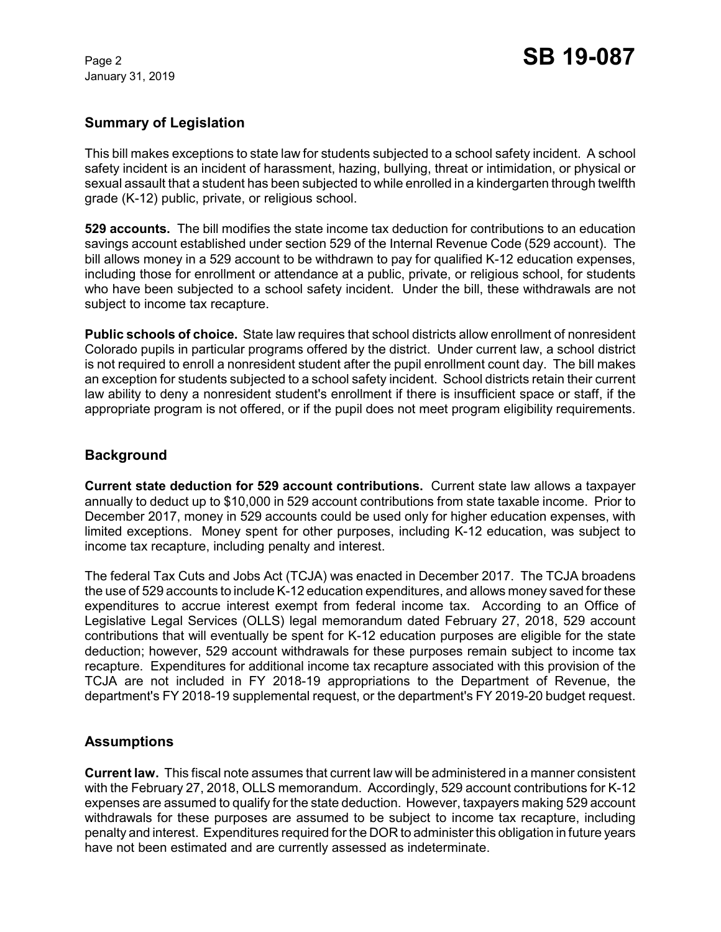January 31, 2019

# **Summary of Legislation**

This bill makes exceptions to state law for students subjected to a school safety incident. A school safety incident is an incident of harassment, hazing, bullying, threat or intimidation, or physical or sexual assault that a student has been subjected to while enrolled in a kindergarten through twelfth grade (K-12) public, private, or religious school.

**529 accounts.** The bill modifies the state income tax deduction for contributions to an education savings account established under section 529 of the Internal Revenue Code (529 account). The bill allows money in a 529 account to be withdrawn to pay for qualified K-12 education expenses, including those for enrollment or attendance at a public, private, or religious school, for students who have been subjected to a school safety incident. Under the bill, these withdrawals are not subject to income tax recapture.

**Public schools of choice.** State law requires that school districts allow enrollment of nonresident Colorado pupils in particular programs offered by the district. Under current law, a school district is not required to enroll a nonresident student after the pupil enrollment count day. The bill makes an exception for students subjected to a school safety incident. School districts retain their current law ability to deny a nonresident student's enrollment if there is insufficient space or staff, if the appropriate program is not offered, or if the pupil does not meet program eligibility requirements.

## **Background**

**Current state deduction for 529 account contributions.** Current state law allows a taxpayer annually to deduct up to \$10,000 in 529 account contributions from state taxable income. Prior to December 2017, money in 529 accounts could be used only for higher education expenses, with limited exceptions. Money spent for other purposes, including K-12 education, was subject to income tax recapture, including penalty and interest.

The federal Tax Cuts and Jobs Act (TCJA) was enacted in December 2017. The TCJA broadens the use of 529 accounts to include K-12 education expenditures, and allows money saved for these expenditures to accrue interest exempt from federal income tax. According to an Office of Legislative Legal Services (OLLS) legal memorandum dated February 27, 2018, 529 account contributions that will eventually be spent for K-12 education purposes are eligible for the state deduction; however, 529 account withdrawals for these purposes remain subject to income tax recapture. Expenditures for additional income tax recapture associated with this provision of the TCJA are not included in FY 2018-19 appropriations to the Department of Revenue, the department's FY 2018-19 supplemental request, or the department's FY 2019-20 budget request.

## **Assumptions**

**Current law.** This fiscal note assumes that current law will be administered in a manner consistent with the February 27, 2018, OLLS memorandum. Accordingly, 529 account contributions for K-12 expenses are assumed to qualify for the state deduction. However, taxpayers making 529 account withdrawals for these purposes are assumed to be subject to income tax recapture, including penalty and interest. Expenditures required for the DOR to administer this obligation in future years have not been estimated and are currently assessed as indeterminate.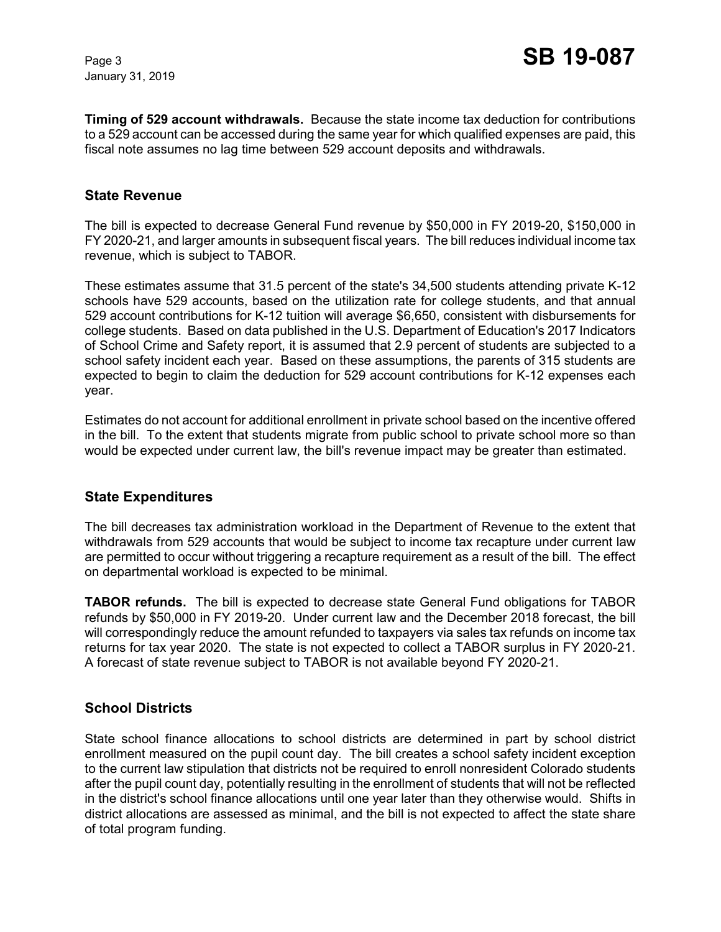January 31, 2019

**Timing of 529 account withdrawals.** Because the state income tax deduction for contributions to a 529 account can be accessed during the same year for which qualified expenses are paid, this fiscal note assumes no lag time between 529 account deposits and withdrawals.

### **State Revenue**

The bill is expected to decrease General Fund revenue by \$50,000 in FY 2019-20, \$150,000 in FY 2020-21, and larger amounts in subsequent fiscal years. The bill reduces individual income tax revenue, which is subject to TABOR.

These estimates assume that 31.5 percent of the state's 34,500 students attending private K-12 schools have 529 accounts, based on the utilization rate for college students, and that annual 529 account contributions for K-12 tuition will average \$6,650, consistent with disbursements for college students. Based on data published in the U.S. Department of Education's 2017 Indicators of School Crime and Safety report, it is assumed that 2.9 percent of students are subjected to a school safety incident each year. Based on these assumptions, the parents of 315 students are expected to begin to claim the deduction for 529 account contributions for K-12 expenses each year.

Estimates do not account for additional enrollment in private school based on the incentive offered in the bill. To the extent that students migrate from public school to private school more so than would be expected under current law, the bill's revenue impact may be greater than estimated.

#### **State Expenditures**

The bill decreases tax administration workload in the Department of Revenue to the extent that withdrawals from 529 accounts that would be subject to income tax recapture under current law are permitted to occur without triggering a recapture requirement as a result of the bill. The effect on departmental workload is expected to be minimal.

**TABOR refunds.** The bill is expected to decrease state General Fund obligations for TABOR refunds by \$50,000 in FY 2019-20. Under current law and the December 2018 forecast, the bill will correspondingly reduce the amount refunded to taxpayers via sales tax refunds on income tax returns for tax year 2020. The state is not expected to collect a TABOR surplus in FY 2020-21. A forecast of state revenue subject to TABOR is not available beyond FY 2020-21.

### **School Districts**

State school finance allocations to school districts are determined in part by school district enrollment measured on the pupil count day. The bill creates a school safety incident exception to the current law stipulation that districts not be required to enroll nonresident Colorado students after the pupil count day, potentially resulting in the enrollment of students that will not be reflected in the district's school finance allocations until one year later than they otherwise would. Shifts in district allocations are assessed as minimal, and the bill is not expected to affect the state share of total program funding.